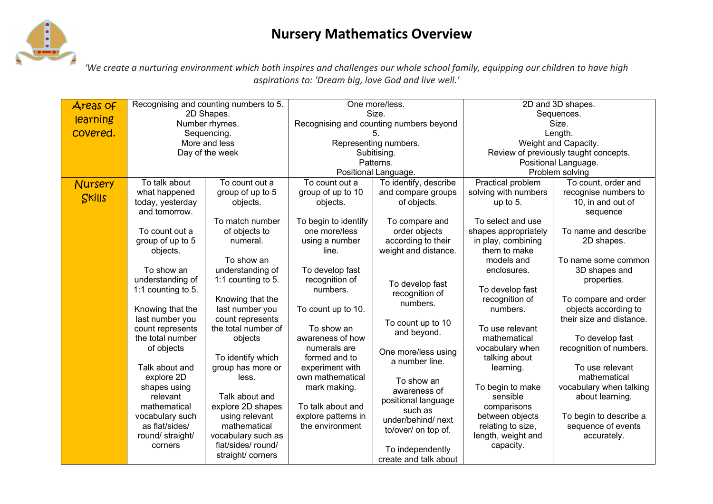## **Nursery Mathematics Overview**



*'We create a nurturing environment which both inspires and challenges our whole school family, equipping our children to have high aspirations to: 'Dream big, love God and live well.'*

| Areas of | Recognising and counting numbers to 5. |                     | One more/less.                          |                       | 2D and 3D shapes.                     |                          |
|----------|----------------------------------------|---------------------|-----------------------------------------|-----------------------|---------------------------------------|--------------------------|
| learning | 2D Shapes.                             |                     | Size.                                   |                       | Sequences.                            |                          |
|          | Number rhymes.                         |                     | Recognising and counting numbers beyond |                       | Size.                                 |                          |
| covered. | Sequencing.                            |                     |                                         |                       | Length.                               |                          |
|          | More and less                          |                     | Representing numbers.                   |                       | Weight and Capacity.                  |                          |
|          | Day of the week                        |                     | Subitising.                             |                       | Review of previously taught concepts. |                          |
|          |                                        |                     | Patterns.                               |                       | Positional Language.                  |                          |
|          |                                        |                     | Positional Language.                    |                       | Problem solving                       |                          |
| Nursery  | To talk about                          | To count out a      | To count out a                          | To identify, describe | Practical problem                     | To count, order and      |
| Skills   | what happened                          | group of up to 5    | group of up to 10                       | and compare groups    | solving with numbers                  | recognise numbers to     |
|          | today, yesterday                       | objects.            | objects.                                | of objects.           | up to 5.                              | 10, in and out of        |
|          | and tomorrow.                          |                     |                                         |                       |                                       | sequence                 |
|          |                                        | To match number     | To begin to identify                    | To compare and        | To select and use                     |                          |
|          | To count out a                         | of objects to       | one more/less                           | order objects         | shapes appropriately                  | To name and describe     |
|          | group of up to 5                       | numeral.            | using a number                          | according to their    | in play, combining                    | 2D shapes.               |
|          | objects.                               |                     | line.                                   | weight and distance.  | them to make                          |                          |
|          |                                        | To show an          |                                         |                       | models and                            | To name some common      |
|          | To show an                             | understanding of    | To develop fast                         |                       | enclosures.                           | 3D shapes and            |
|          | understanding of                       | 1:1 counting to 5.  | recognition of                          | To develop fast       |                                       | properties.              |
|          | 1:1 counting to 5.                     |                     | numbers.                                | recognition of        | To develop fast                       |                          |
|          |                                        | Knowing that the    |                                         | numbers.              | recognition of                        | To compare and order     |
|          | Knowing that the                       | last number you     | To count up to 10.                      |                       | numbers.                              | objects according to     |
|          | last number you                        | count represents    |                                         | To count up to 10     |                                       | their size and distance. |
|          | count represents                       | the total number of | To show an                              | and beyond.           | To use relevant                       |                          |
|          | the total number                       | objects             | awareness of how                        |                       | mathematical                          | To develop fast          |
|          | of objects                             |                     | numerals are                            | One more/less using   | vocabulary when                       | recognition of numbers.  |
|          |                                        | To identify which   | formed and to                           | a number line.        | talking about                         |                          |
|          | Talk about and                         | group has more or   | experiment with                         |                       | learning.                             | To use relevant          |
|          | explore 2D                             | less.               | own mathematical                        | To show an            |                                       | mathematical             |
|          | shapes using                           |                     | mark making.                            | awareness of          | To begin to make                      | vocabulary when talking  |
|          | relevant                               | Talk about and      |                                         | positional language   | sensible                              | about learning.          |
|          | mathematical                           | explore 2D shapes   | To talk about and                       | such as               | comparisons                           |                          |
|          | vocabulary such                        | using relevant      | explore patterns in                     | under/behind/next     | between objects                       | To begin to describe a   |
|          | as flat/sides/                         | mathematical        | the environment                         | to/over/ on top of.   | relating to size,                     | sequence of events       |
|          | round/ straight/                       | vocabulary such as  |                                         |                       | length, weight and                    | accurately.              |
|          | corners                                | flat/sides/ round/  |                                         | To independently      | capacity.                             |                          |
|          |                                        | straight/ corners   |                                         | create and talk about |                                       |                          |